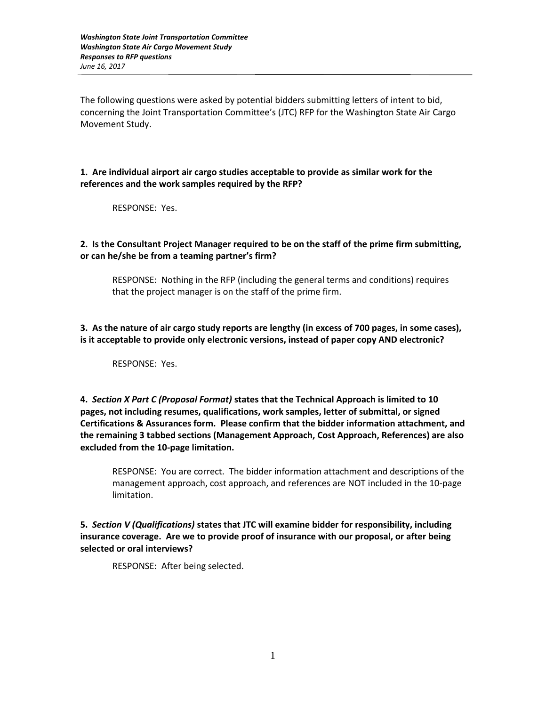The following questions were asked by potential bidders submitting letters of intent to bid, concerning the Joint Transportation Committee's (JTC) RFP for the Washington State Air Cargo Movement Study.

## **1. Are individual airport air cargo studies acceptable to provide as similar work for the references and the work samples required by the RFP?**

RESPONSE: Yes.

## **2. Is the Consultant Project Manager required to be on the staff of the prime firm submitting, or can he/she be from a teaming partner's firm?**

RESPONSE: Nothing in the RFP (including the general terms and conditions) requires that the project manager is on the staff of the prime firm.

**3. As the nature of air cargo study reports are lengthy (in excess of 700 pages, in some cases), is it acceptable to provide only electronic versions, instead of paper copy AND electronic?** 

RESPONSE: Yes.

**4.** *Section X Part C (Proposal Format)* **states that the Technical Approach is limited to 10 pages, not including resumes, qualifications, work samples, letter of submittal, or signed Certifications & Assurances form. Please confirm that the bidder information attachment, and the remaining 3 tabbed sections (Management Approach, Cost Approach, References) are also excluded from the 10-page limitation.**

RESPONSE: You are correct. The bidder information attachment and descriptions of the management approach, cost approach, and references are NOT included in the 10-page limitation.

**5.** *Section V (Qualifications)* **states that JTC will examine bidder for responsibility, including insurance coverage. Are we to provide proof of insurance with our proposal, or after being selected or oral interviews?**

RESPONSE: After being selected.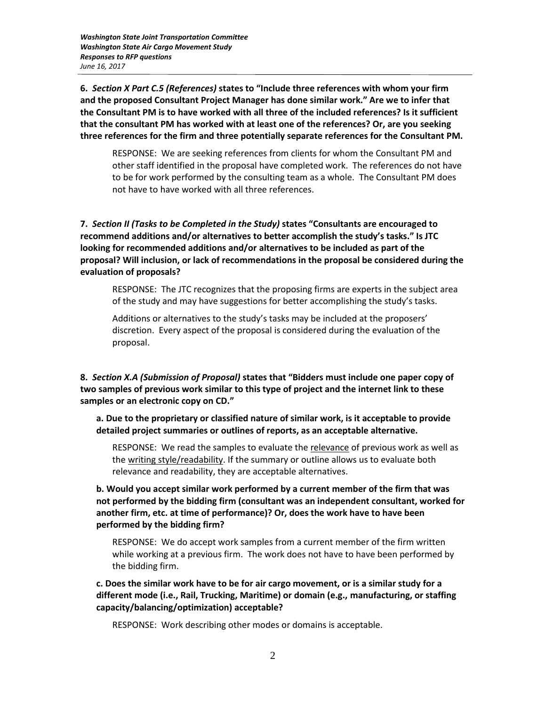*Washington State Joint Transportation Committee Washington State Air Cargo Movement Study Responses to RFP questions June 16, 2017*

**6.** *Section X Part C.5 (References)* **states to "Include three references with whom your firm and the proposed Consultant Project Manager has done similar work." Are we to infer that the Consultant PM is to have worked with all three of the included references? Is it sufficient that the consultant PM has worked with at least one of the references? Or, are you seeking three references for the firm and three potentially separate references for the Consultant PM.**

RESPONSE: We are seeking references from clients for whom the Consultant PM and other staff identified in the proposal have completed work. The references do not have to be for work performed by the consulting team as a whole. The Consultant PM does not have to have worked with all three references.

**7.** *Section II (Tasks to be Completed in the Study)* **states "Consultants are encouraged to recommend additions and/or alternatives to better accomplish the study's tasks." Is JTC looking for recommended additions and/or alternatives to be included as part of the proposal? Will inclusion, or lack of recommendations in the proposal be considered during the evaluation of proposals?**

RESPONSE: The JTC recognizes that the proposing firms are experts in the subject area of the study and may have suggestions for better accomplishing the study's tasks.

Additions or alternatives to the study's tasks may be included at the proposers' discretion. Every aspect of the proposal is considered during the evaluation of the proposal.

**8.** *Section X.A (Submission of Proposal)* **states that "Bidders must include one paper copy of two samples of previous work similar to this type of project and the internet link to these samples or an electronic copy on CD."** 

**a. Due to the proprietary or classified nature of similar work, is it acceptable to provide detailed project summaries or outlines of reports, as an acceptable alternative.** 

RESPONSE: We read the samples to evaluate the relevance of previous work as well as the writing style/readability. If the summary or outline allows us to evaluate both relevance and readability, they are acceptable alternatives.

**b. Would you accept similar work performed by a current member of the firm that was not performed by the bidding firm (consultant was an independent consultant, worked for another firm, etc. at time of performance)? Or, does the work have to have been performed by the bidding firm?**

RESPONSE: We do accept work samples from a current member of the firm written while working at a previous firm. The work does not have to have been performed by the bidding firm.

**c. Does the similar work have to be for air cargo movement, or is a similar study for a different mode (i.e., Rail, Trucking, Maritime) or domain (e.g., manufacturing, or staffing capacity/balancing/optimization) acceptable?**

RESPONSE: Work describing other modes or domains is acceptable.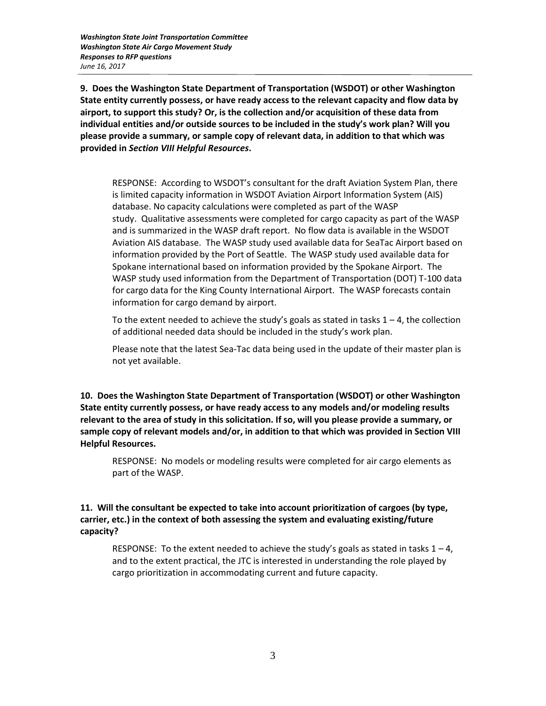*Washington State Joint Transportation Committee Washington State Air Cargo Movement Study Responses to RFP questions June 16, 2017*

**9.****Does the Washington State Department of Transportation (WSDOT) or other Washington State entity currently possess, or have ready access to the relevant capacity and flow data by airport, to support this study? Or, is the collection and/or acquisition of these data from individual entities and/or outside sources to be included in the study's work plan? Will you please provide a summary, or sample copy of relevant data, in addition to that which was provided in** *Section VIII Helpful Resources***.**

RESPONSE: According to WSDOT's consultant for the draft Aviation System Plan, there is limited capacity information in WSDOT Aviation Airport Information System (AIS) database. No capacity calculations were completed as part of the WASP study. Qualitative assessments were completed for cargo capacity as part of the WASP and is summarized in the WASP draft report. No flow data is available in the WSDOT Aviation AIS database. The WASP study used available data for SeaTac Airport based on information provided by the Port of Seattle. The WASP study used available data for Spokane international based on information provided by the Spokane Airport. The WASP study used information from the Department of Transportation (DOT) T-100 data for cargo data for the King County International Airport. The WASP forecasts contain information for cargo demand by airport.

To the extent needed to achieve the study's goals as stated in tasks  $1 - 4$ , the collection of additional needed data should be included in the study's work plan.

Please note that the latest Sea-Tac data being used in the update of their master plan is not yet available.

**10.****Does the Washington State Department of Transportation (WSDOT) or other Washington State entity currently possess, or have ready access to any models and/or modeling results relevant to the area of study in this solicitation. If so, will you please provide a summary, or sample copy of relevant models and/or, in addition to that which was provided in Section VIII Helpful Resources.**

RESPONSE: No models or modeling results were completed for air cargo elements as part of the WASP.

**11. Will the consultant be expected to take into account prioritization of cargoes (by type, carrier, etc.) in the context of both assessing the system and evaluating existing/future capacity?**

RESPONSE: To the extent needed to achieve the study's goals as stated in tasks  $1 - 4$ , and to the extent practical, the JTC is interested in understanding the role played by cargo prioritization in accommodating current and future capacity.